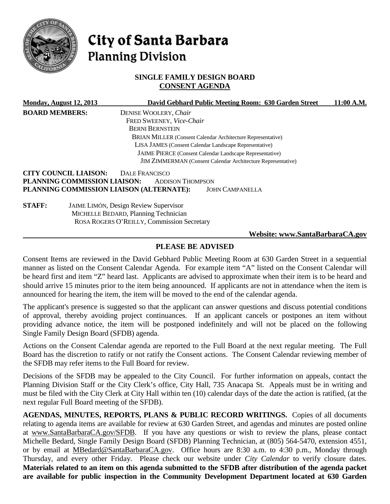

# City of Santa Barbara **Planning Division**

# **SINGLE FAMILY DESIGN BOARD CONSENT AGENDA**

|                       | <b>Monday, August 12, 2013</b> | David Gebhard Public Meeting Room: 630 Garden Street                | 11:00 A.M. |
|-----------------------|--------------------------------|---------------------------------------------------------------------|------------|
| <b>BOARD MEMBERS:</b> |                                | DENISE WOOLERY, Chair                                               |            |
|                       |                                | FRED SWEENEY, Vice-Chair                                            |            |
|                       |                                | <b>BERNI BERNSTEIN</b>                                              |            |
|                       |                                | <b>BRIAN MILLER (Consent Calendar Architecture Representative)</b>  |            |
|                       |                                | LISA JAMES (Consent Calendar Landscape Representative)              |            |
|                       |                                | JAIME PIERCE (Consent Calendar Landscape Representative)            |            |
|                       |                                | <b>JIM ZIMMERMAN</b> (Consent Calendar Architecture Representative) |            |
|                       | <b>CITY COUNCIL LIAISON:</b>   | <b>DALE FRANCISCO</b>                                               |            |
|                       | PLANNING COMMISSION LIAISON:   | <b>ADDISON THOMPSON</b>                                             |            |
|                       |                                | PLANNING COMMISSION LIAISON (ALTERNATE):<br><b>JOHN CAMPANELLA</b>  |            |
| <b>STAFF:</b>         |                                | <b>JAIME LIMÓN, Design Review Supervisor</b>                        |            |
|                       |                                | MICHELLE BEDARD, Planning Technician                                |            |
|                       |                                | ROSA ROGERS O'REILLY, Commission Secretary                          |            |
|                       |                                | Website: www.SantaBarbaraCA.gov                                     |            |

# **PLEASE BE ADVISED**

Consent Items are reviewed in the David Gebhard Public Meeting Room at 630 Garden Street in a sequential manner as listed on the Consent Calendar Agenda. For example item "A" listed on the Consent Calendar will be heard first and item "Z" heard last. Applicants are advised to approximate when their item is to be heard and should arrive 15 minutes prior to the item being announced. If applicants are not in attendance when the item is announced for hearing the item, the item will be moved to the end of the calendar agenda.

The applicant's presence is suggested so that the applicant can answer questions and discuss potential conditions of approval, thereby avoiding project continuances. If an applicant cancels or postpones an item without providing advance notice, the item will be postponed indefinitely and will not be placed on the following Single Family Design Board (SFDB) agenda.

Actions on the Consent Calendar agenda are reported to the Full Board at the next regular meeting. The Full Board has the discretion to ratify or not ratify the Consent actions. The Consent Calendar reviewing member of the SFDB may refer items to the Full Board for review.

Decisions of the SFDB may be appealed to the City Council. For further information on appeals, contact the Planning Division Staff or the City Clerk's office, City Hall, 735 Anacapa St. Appeals must be in writing and must be filed with the City Clerk at City Hall within ten (10) calendar days of the date the action is ratified, (at the next regular Full Board meeting of the SFDB).

**AGENDAS, MINUTES, REPORTS, PLANS & PUBLIC RECORD WRITINGS.** Copies of all documents relating to agenda items are available for review at 630 Garden Street, and agendas and minutes are posted online at [www.SantaBarbaraCA.gov/SFDB.](http://www.santabarbaraca.gov/ABR) If you have any questions or wish to review the plans, please contact Michelle Bedard, Single Family Design Board (SFDB) Planning Technician, at (805) 564-5470, extension 4551, or by email at [MBedard@SantaBarbaraCA.gov.](mailto:MBedard@SantaBarbaraCA.gov) Office hours are 8:30 a.m. to 4:30 p.m., Monday through Thursday, and every other Friday. Please check our website under *City Calendar* to verify closure dates. **Materials related to an item on this agenda submitted to the SFDB after distribution of the agenda packet are available for public inspection in the Community Development Department located at 630 Garden**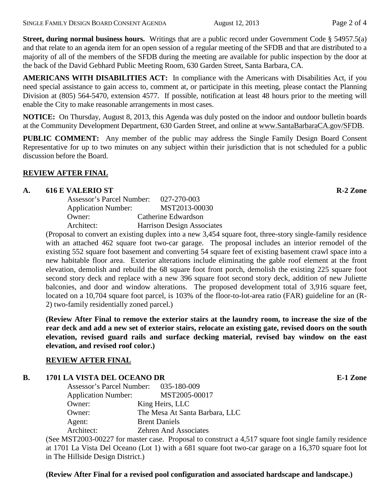**Street, during normal business hours.** Writings that are a public record under Government Code § 54957.5(a) and that relate to an agenda item for an open session of a regular meeting of the SFDB and that are distributed to a majority of all of the members of the SFDB during the meeting are available for public inspection by the door at the back of the David Gebhard Public Meeting Room, 630 Garden Street, Santa Barbara, CA.

**AMERICANS WITH DISABILITIES ACT:** In compliance with the Americans with Disabilities Act, if you need special assistance to gain access to, comment at, or participate in this meeting, please contact the Planning Division at (805) 564-5470, extension 4577. If possible, notification at least 48 hours prior to the meeting will enable the City to make reasonable arrangements in most cases.

**NOTICE:** On Thursday, August 8, 2013, this Agenda was duly posted on the indoor and outdoor bulletin boards at the Community Development Department, 630 Garden Street, and online at [www.SantaBarbaraCA.gov/SFDB.](http://www.santabarbaraca.gov/sfdb)

**PUBLIC COMMENT:** Any member of the public may address the Single Family Design Board Consent Representative for up to two minutes on any subject within their jurisdiction that is not scheduled for a public discussion before the Board.

# **REVIEW AFTER FINAL**

## **A. 616 E VALERIO ST R-2 Zone**

| Assessor's Parcel Number:  | 027-270-003                       |
|----------------------------|-----------------------------------|
| <b>Application Number:</b> | MST2013-00030                     |
| Owner:                     | Catherine Edwardson               |
| Architect:                 | <b>Harrison Design Associates</b> |

(Proposal to convert an existing duplex into a new 3,454 square foot, three-story single-family residence with an attached 462 square foot two-car garage. The proposal includes an interior remodel of the existing 552 square foot basement and converting 54 square feet of existing basement crawl space into a new habitable floor area. Exterior alterations include eliminating the gable roof element at the front elevation, demolish and rebuild the 68 square foot front porch, demolish the existing 225 square foot second story deck and replace with a new 396 square foot second story deck, addition of new Juliette balconies, and door and window alterations. The proposed development total of 3,916 square feet, located on a 10,704 square foot parcel, is 103% of the floor-to-lot-area ratio (FAR) guideline for an (R-2) two-family residentially zoned parcel.)

**(Review After Final to remove the exterior stairs at the laundry room, to increase the size of the rear deck and add a new set of exterior stairs, relocate an existing gate, revised doors on the south elevation, revised guard rails and surface decking material, revised bay window on the east elevation, and revised roof color.)**

# **REVIEW AFTER FINAL**

# **B. 1701 LA VISTA DEL OCEANO DR E-1 Zone**

| Assessor's Parcel Number:  | 035-180-009                    |
|----------------------------|--------------------------------|
| <b>Application Number:</b> | MST2005-00017                  |
| Owner:                     | King Heirs, LLC                |
| Owner:                     | The Mesa At Santa Barbara, LLC |
| Agent:                     | <b>Brent Daniels</b>           |
| Architect:                 | <b>Zehren And Associates</b>   |

(See MST2003-00227 for master case. Proposal to construct a 4,517 square foot single family residence at 1701 La Vista Del Oceano (Lot 1) with a 681 square foot two-car garage on a 16,370 square foot lot in The Hillside Design District.)

**(Review After Final for a revised pool configuration and associated hardscape and landscape.)**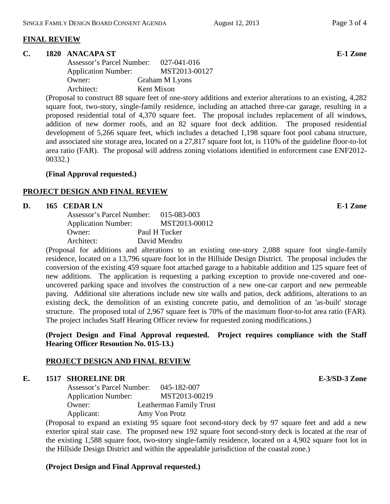#### **FINAL REVIEW**

### **C. 1820 ANACAPA ST E-1 Zone**

Assessor's Parcel Number: 027-041-016 Application Number: MST2013-00127 Owner: Graham M Lyons Architect: Kent Mixon

(Proposal to construct 88 square feet of one-story additions and exterior alterations to an existing, 4,282 square foot, two-story, single-family residence, including an attached three-car garage, resulting in a proposed residential total of 4,370 square feet. The proposal includes replacement of all windows, addition of new dormer roofs, and an 82 square foot deck addition. The proposed residential development of 5,266 square feet, which includes a detached 1,198 square foot pool cabana structure, and associated site storage area, located on a 27,817 square foot lot, is 110% of the guideline floor-to-lot area ratio (FAR). The proposal will address zoning violations identified in enforcement case ENF2012- 00332.)

#### **(Final Approval requested.)**

## **PROJECT DESIGN AND FINAL REVIEW**

#### **D. 165 CEDAR LN E-1 Zone**

| Assessor's Parcel Number:  | 015-083-003   |
|----------------------------|---------------|
| <b>Application Number:</b> | MST2013-00012 |
| Owner:                     | Paul H Tucker |
| Architect:                 | David Mendro  |

(Proposal for additions and alterations to an existing one-story 2,088 square foot single-family residence, located on a 13,796 square foot lot in the Hillside Design District. The proposal includes the conversion of the existing 459 square foot attached garage to a habitable addition and 125 square feet of new additions. The application is requesting a parking exception to provide one-covered and oneuncovered parking space and involves the construction of a new one-car carport and new permeable paving. Additional site alterations include new site walls and patios, deck additions, alterations to an existing deck, the demolition of an existing concrete patio, and demolition of an 'as-built' storage structure. The proposed total of 2,967 square feet is 70% of the maximum floor-to-lot area ratio (FAR). The project includes Staff Hearing Officer review for requested zoning modifications.)

## **(Project Design and Final Approval requested. Project requires compliance with the Staff Hearing Officer Resoution No. 015-13.)**

## **PROJECT DESIGN AND FINAL REVIEW**

## **E. 1517 SHORELINE DR E-3/SD-3 Zone**

Assessor's Parcel Number: 045-182-007 Application Number: MST2013-00219 Owner: Leatherman Family Trust Applicant: Amy Von Protz

(Proposal to expand an existing 95 square foot second-story deck by 97 square feet and add a new exterior spiral stair case. The proposed new 192 square foot second-story deck is located at the rear of the existing 1,588 square foot, two-story single-family residence, located on a 4,902 square foot lot in the Hillside Design District and within the appealable jurisdiction of the coastal zone.)

#### **(Project Design and Final Approval requested.)**